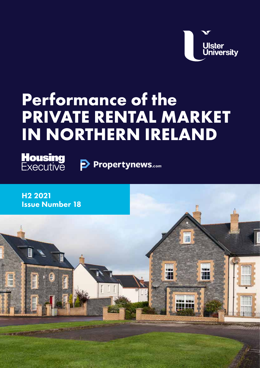**Ulster<br>University** 

F

m

Ħ

# **Performance of the PRIVATE RENTAL MARKET IN NORTHERN IRELAND**

**Housing**<br>Executive Propertynews.com

H2 2021 Issue Number 18

m m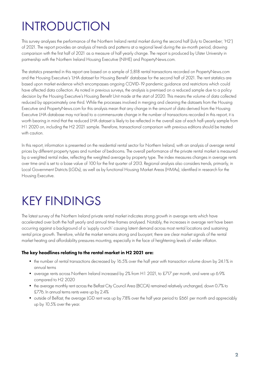### INTRODUCTION

This survey analyses the performance of the Northern Ireland rental market during the second half (July to December; 'H2') of 2021. The report provides an analysis of trends and patterns at a regional level during the six-month period, drawing comparison with the first half of 2021 as a measure of half yearly change. The report is produced by Ulster University in partnership with the Northern Ireland Housing Executive (NIHE) and PropertyNews.com.

The statistics presented in this report are based on a sample of 5,818 rental transactions recorded on PropertyNews.com and the Housing Executive's 'LHA dataset for Housing Benefit' database for the second half of 2021. The rent statistics are based upon market evidence which encompasses ongoing COVID-19 pandemic guidance and restrictions which could have affected data collection. As noted in previous surveys, the analysis is premised on a reduced sample due to a policy decision by the Housing Executive's Housing Benefit Unit made at the start of 2020. This means the volume of data collected reduced by approximately one third. While the processes involved in merging and cleaning the datasets from the Housing Executive and PropertyNews.com for this analysis mean that any change in the amount of data derived from the Housing Executive LHA database may not lead to a commensurate change in the number of transactions recorded in this report, it is worth bearing in mind that the reduced LHA dataset is likely to be reflected in the overall size of each half-yearly sample from H1 2020 on, including the H2 2021 sample. Therefore, transactional comparison with previous editions should be treated with caution.

In this report, information is presented on the residential rental sector for Northern Ireland, with an analysis of average rental prices by different property types and number of bedrooms. The overall performance of the private rental market is measured by a weighted rental index, reflecting the weighted average by property type. The index measures changes in average rents over time and is set to a base value of 100 for the first quarter of 2013. Regional analysis also considers trends, primarily, in Local Government Districts (LGDs), as well as by functional Housing Market Areas (HMAs), identified in research for the Housing Executive.

#### KEY FINDINGS

The latest survey of the Northern Ireland private rental market indicates strong growth in average rents which have accelerated over both the half yearly and annual time-frames analysed. Notably, the increases in average rent have been occurring against a background of a 'supply crunch' causing latent demand across most rental locations and sustaining rental price growth. Therefore, whilst the market remains strong and buoyant, there are clear market signals of the rental market heating and affordability pressures mounting, especially in the face of heightening levels of wider inflation.

#### The key headlines relating to the rental market in H2 2021 are:

- the number of rental transactions decreased by 16.5% over the half year with transaction volume down by 24.1% in annual terms
- average rents across Northern Ireland increased by 2% from H1 2021, to £717 per month, and were up 6.9% compared to H2 2020
- the average monthly rent across the Belfast City Council Area (BCCA) remained relatively unchanged, down 0.7% to £776. In annual terms rents were up by 2.4%
- outside of Belfast, the average LGD rent was up by 7.8% over the half year period to £661 per month and appreciably up by 10.5% over the year.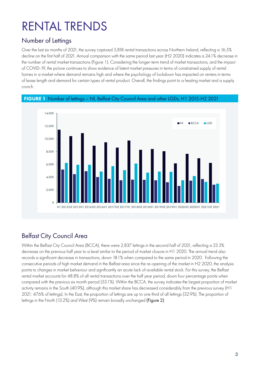# RENTAL TRENDS

#### Number of Lettings

Over the last six months of 2021, the survey captured 5,818 rental transactions across Northern Ireland, reflecting a 16.5% decline on the first half of 2021. Annual comparison with the same period last year (H2 2020) indicates a 24.1% decrease in the number of rental market transactions (Figure 1). Considering the longer-term trend of market transactions, and the impact of COVID-19, the picture continues to show evidence of latent market pressures in terms of constrained supply of rental homes in a market where demand remains high and where the psychology of lockdown has impacted on renters in terms of lease length and demand for certain types of rental product. Overall, the findings point to a heating market and a supply crunch.

FIGURE 1Number of lettings – NI, Belfast City Council Area and other LGDs, H1 2015-H2 2021



#### Belfast City Council Area

Within the Belfast City Council Area (BCCA), there were 2,837 lettings in the second half of 2021, reflecting a 23.3% decrease on the previous half year to a level similar to the period of market closure in H1 2020. The annual trend also records a significant decrease in transactions, down 18.1% when compared to the same period in 2020. Following the consecutive periods of high market demand in the Belfast area since the re-opening of the market in H2 2020, the analysis points to changes in market behaviour and significantly an acute lack of available rental stock. For this survey, the Belfast rental market accounts for 48.8% of all rental transactions over the half year period, down four percentage points when compared with the previous six month period (53.1%). Within the BCCA, the survey indicates the largest proportion of market activity remains in the South (40.9%), although this market share has decreased considerably from the previous survey (H1 2021: 47.6% of lettings). In the East, the proportion of lettings are up to one third of all lettings (32.9%). The proportion of lettings in the North (13.2%) and West (9%) remain broadly unchanged (Figure 2).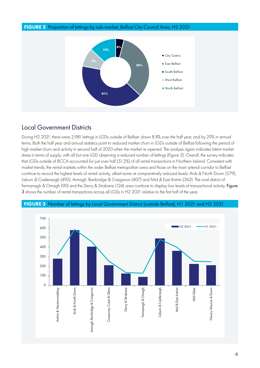

#### Local Government Districts

During H2 2021, there were 2,981 lettings in LGDs outside of Belfast: down 8.8% over the half year, and by 29% in annual terms. Both the half year and annual statistics point to reduced market churn in LGDs outside of Belfast following the period of high market churn and activity in second half of 2020 when the market re-opened. The analysis again indicates latent market stress in terms of supply, with all but one LGD observing a reduced number of lettings (Figure 3). Overall, the survey indicates that LGDs outside of BCCA accounted for just over half (51.2%) of all rental transactions in Northern Ireland. Consistent with market trends, the rental markets within the wider Belfast metropolitan area and those on the main arterial corridor to Belfast continue to record the highest levels of rental activity, albeit some at comparatively reduced levels: Ards & North Down (579), Lisburn & Castlereagh (492), Armagh, Banbridge & Craigavon (407) and Mid & East Antrim (362). The rural district of Fermanagh & Omagh (90) and the Derry & Strabane (124) area continue to display low levels of transactional activity. Figure 3 shows the number of rental transactions across all LGDs in H2 2021 relative to the first half of the year.



#### FIGURE 3 Number of lettings by Local Government District (outside Belfast), H1 2021 and H2 2021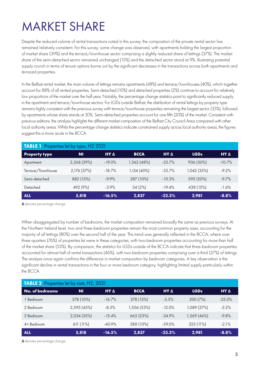#### MARKET SHARE

Despite the reduced volume of rental transactions noted in this survey, the composition of the private rental sector has remained relatively consistent. For this survey, some change was observed, with apartments holding the largest proportion of market share (39%) and the terrace/townhouse sector comprising a slightly reduced share of lettings (37%). The market share of the semi-detached sector remained unchanged (15%) and the detached sector stood at 9%, illustrating potential supply crunch in terms of tenure options borne out by the significant decreases in the transactions across both apartments and terraced properties.

In the Belfast rental market, the main volume of lettings remains apartments (48%) and terrace/townhouses (40%), which together account for 88% of all rented properties. Semi-detached (10%) and detached properties (2%) continue to account for relatively low proportions of the market over the half year. Notably, the percentage change statistics point to significantly reduced supply in the apartment and terrace/townhouse sectors. For LGDs outside Belfast, the distribution of rental lettings by property type remains highly consistent with the previous survey with terrace/townhouse properties remaining the largest sector (35%), followed by apartments whose share stands at 30%. Semi-detached properties account for one fifth (20%) of the market. Consistent with previous editions, the analysis highlights the different market composition of the Belfast City Council Area compared with other local authority areas. Whilst the percentage change statistics indicate constrained supply across local authority areas, the figures suggest this is more acute in the BCCA.

| <b>TABLE 1</b> Properties let by type, H2 2021 |             |           |             |          |             |             |  |
|------------------------------------------------|-------------|-----------|-------------|----------|-------------|-------------|--|
| <b>Property type</b>                           | <b>NI</b>   | HYA       | <b>BCCA</b> | HYA      | <b>LGDs</b> | $HY \Delta$ |  |
| Apartment                                      | 2,268 (39%) | $-19.0\%$ | 1,362 (48%) | $-23.7%$ | 906 (30%)   | $-10.7%$    |  |
| Terrace/Townhouse                              | 2,176 (37%) | $-18.7\%$ | 1,134 (40%) | $-25.7%$ | 1,042 (35%) | $-9.2%$     |  |
| Semi-detached                                  | 882 (15%)   | $-9.9%$   | 287 (10%)   | $-10.3%$ | 595 (20%)   | $-9.7\%$    |  |
| Detached                                       | 492 (9%)    | $-3.9\%$  | 54 (2%)     | $-19.4%$ | 438 (15%)   | $-1.6%$     |  |
| <b>ALL</b>                                     | 5,818       | $-16.5%$  | 2,837       | $-23.3%$ | 2,981       | $-8.8%$     |  |

**∆**denotes percentage change

When disaggregated by number of bedrooms, the market composition remained broadly the same as previous surveys. At the Northern Ireland level, two and three-bedroom properties remain the most common property sizes, accounting for the majority of all lettings (80%) over the second half of the year. This trend was generally reflected in the BCCA, where over three-quarters (76%) of properties let were in these categories, with two-bedroom properties accounting for more than half of the market share (53%). By comparison, the statistics for LGDs outside of the BCCA indicate that three-bedroom properties accounted for almost half of rental transactions (46%), with two-bedroom properties comprising over a third (37%) of lettings. The analysis once again confirms the difference in market composition by bedroom categories. A key observation is the significant decline in rental transactions in the four or more bedroom category, highlighting limited supply particularly within the BCCA.

| <b>TABLE 2</b> Properties let by size, H2, 2021 |             |           |             |          |                  |          |  |
|-------------------------------------------------|-------------|-----------|-------------|----------|------------------|----------|--|
| No. of bedrooms                                 | <b>NI</b>   | HY A      | <b>BCCA</b> | HYA      | LGD <sub>s</sub> | HYA      |  |
| 1 Bedroom                                       | 578 (10%)   | $-16.7\%$ | 378 (13%)   | $-5.5%$  | 200(7%)          | $-32.0%$ |  |
| 2 Bedroom                                       | 2,595 (45%) | $-8.5%$   | 1,506 (53%) | $-12.0%$ | 1,089 (37%)      | $-3.2%$  |  |
| 3 Bedroom                                       | 2,034 (35%) | $-15.4%$  | 665 (23%)   | $-24.9%$ | 1,369 (46%)      | $-9.8%$  |  |
| $4+$ Bedroom                                    | $611(11\%)$ | $-40.9%$  | 288 (10%)   | $-59.0%$ | 323 (11%)        | $-2.1\%$ |  |
| <b>ALL</b>                                      | 5,818       | $-16.5%$  | 2,837       | $-23.3%$ | 2,981            | $-8.8%$  |  |

**∆**denotes percentage change.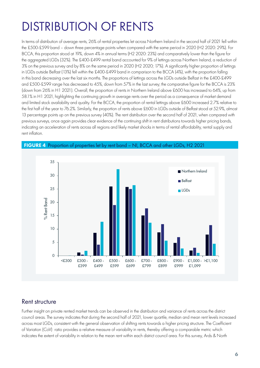### DISTRIBUTION OF RENTS

In terms of distribution of average rents, 26% of rental properties let across Northern Ireland in the second half of 2021 fell within the £500-£599 band – down three percentage points when compared with the same period in 2020 (H2 2020: 29%). For BCCA, this proportion stood at 19%, down 4% in annual terms (H2 2020: 23%) and comparatively lower than the figure for the aggregated LGDs (32%). The £400-£499 rental band accounted for 9% of lettings across Northern Ireland, a reduction of 3% on the previous survey and by 8% on the same period in 2020 (H2 2020; 17%). A significantly higher proportion of lettings in LGDs outside Belfast (13%) fell within the £400-£499 band in comparison to the BCCA (4%), with the proportion falling in this band decreasing over the last six months. The proportions of lettings across the LGDs outside Belfast in the £400-£499 and £500-£599 range has decreased to 45%, down from 57% in the last survey; the comparative figure for the BCCA is 23% (down from 26% in H1 2021). Overall, the proportion of rents in Northern Ireland above £600 has increased to 64%, up from 58.1% in H1 2021, highlighting the continuing growth in average rents over the period as a consequence of market demand and limited stock availability and quality. For the BCCA, the proportion of rental lettings above £600 increased 2.7% relative to the first half of the year to 76.2%. Similarly, the proportion of rents above £600 in LGDs outside of Belfast stood at 52.9%, almost 13 percentage points up on the previous survey (40%). The rent distribution over the second half of 2021, when compared with previous surveys, once again provides clear evidence of the continuing shift in rent distributions towards higher pricing bands, indicating an acceleration of rents across all regions and likely market shocks in terms of rental affordability, rental supply and rent inflation.



FIGURE 4 Proportion of properties let by rent band – NI, BCCA and other LGDs, H2 2021

#### Rent structure

Further insight on private rented market trends can be observed in the distribution and variance of rents across the district council areas. The survey indicates that during the second half of 2021, lower quartile, median and mean rent levels increased across most LGDs, consistent with the general observation of shifting rents towards a higher pricing structure. The Coefficient of Variation (CoV) ratio provides a relative measure of variability in rents, thereby offering a comparable metric which indicates the extent of variability in relation to the mean rent within each district council area. For this survey, Ards & North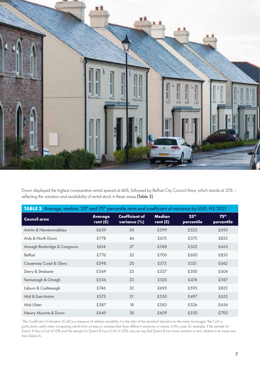

Down displayed the highest comparative rental spread at 46%, followed by Belfast City Council Area, which stands at 35% – reflecting the variation and availability of rental stock in these areas (Table 3).

| TABLE 3 Average, median, 25 <sup>th</sup> and 75 <sup>th</sup> percentile rents and coefficient of variance by LGD, H2 2021 |                              |                                       |                             |                                |                                |  |  |
|-----------------------------------------------------------------------------------------------------------------------------|------------------------------|---------------------------------------|-----------------------------|--------------------------------|--------------------------------|--|--|
| <b>Council area</b>                                                                                                         | <b>Average</b><br>rent $(E)$ | <b>Coefficient of</b><br>variance (%) | <b>Median</b><br>rent $(E)$ | 25 <sup>th</sup><br>percentile | 75 <sup>th</sup><br>percentile |  |  |
| Antrim & Newtownabbey                                                                                                       | £639                         | 30                                    | £599                        | £525                           | £695                           |  |  |
| Ards & North Down                                                                                                           | £778                         | 46                                    | £675                        | £575                           | £825                           |  |  |
| Armagh Banbridge & Craigavon                                                                                                | £614                         | 27                                    | £588                        | £525                           | £663                           |  |  |
| <b>Belfast</b>                                                                                                              | £776                         | 35                                    | £700                        | £600                           | £850                           |  |  |
| Causeway Coast & Glens                                                                                                      | £598                         | 20                                    | £575                        | £521                           | £662                           |  |  |
| Derry & Strabane                                                                                                            | £569                         | 23                                    | £557                        | £500                           | £604                           |  |  |
| Fermanagh & Omagh                                                                                                           | £536                         | 22                                    | £520                        | £474                           | £587                           |  |  |
| Lisburn & Castlereagh                                                                                                       | £746                         | 32                                    | £693                        | £595                           | £825                           |  |  |
| Mid & East Antrim                                                                                                           | £575                         | 21                                    | £550                        | £497                           | £625                           |  |  |
| Mid-Ulster                                                                                                                  | £587                         | 18                                    | £583                        | £526                           | £656                           |  |  |
| Newry Mourne & Down                                                                                                         | £649                         | 28                                    | £609                        | £550                           | £700                           |  |  |

<sup>1</sup>The Coefficient of Variation (CoV) is a measure of relative variability. It is the ratio of the standard deviation to the mean (average). The CoV is particularly useful when comparing results from surveys or samples that have different measures or values. In this case, for example, if the sample for District A has a CoV of 10% and the sample for District B has a CoV of 20%, we can say that District B has more variation in rent, relative to its mean rent, than District A.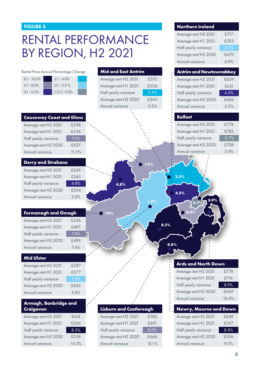#### FIGURE 5

#### RENTAL PERFORMANCE BY REGION, H2 2021

|                                       |                  |                                |      | Annual variance                | $6.9\%$ |
|---------------------------------------|------------------|--------------------------------|------|--------------------------------|---------|
| Rental Price Annual Percentage Change |                  | <b>Mid and East Antrim</b>     |      | <b>Antrim and Newtownabbey</b> |         |
| $8.1 - 10.0\%$                        | $2.1 - 4.0\%$    | Average rent H2 2021           | £575 | Average rent H2 2021           | £639    |
| $6.1 - 8.0\%$                         | $0.1 - 2.0 \%$   | Average rent H1 2021           | £556 | Average rent H1 2021           | £612    |
| $4.1 - 6.0\%$                         | $(-2.1) - 0.0\%$ | Half yearly variance           | 3.5% | Half yearly variance           | 4.5%    |
|                                       |                  | Average rent H2 2020           | £545 | Average rent H2 2020           | £606    |
|                                       |                  | Annual variance                | 5.5% | Annual variance                | 5.5%    |
| <b>Causeway Coast and Glens</b>       |                  |                                |      | <b>Belfast</b>                 |         |
| Average rent H2 2021                  | £598             |                                |      | Average rent H2 2021           | £776    |
| Average rent H1 2021                  | £558             |                                |      | Average rent H1 2021           | £782    |
| Half yearly variance                  | 7.3%             |                                |      | Half yearly variance           | $-0.7%$ |
| Average rent H2 2020                  | £537             |                                |      | Average rent H2 2020           | £758    |
| Annual variance                       | 11.5%            |                                |      | Annual variance                | 2.4%    |
| <b>Derry and Strabane</b>             |                  |                                | 7.3% |                                |         |
| Average rent H2 2021                  | £569             |                                |      |                                |         |
| Average rent H1 2021                  | £543             |                                |      | 3.5%                           |         |
| Half yearly variance                  | 4.8%             | 4.8%                           |      |                                |         |
| Average rent H2 2020                  | £554             |                                |      |                                |         |
| Annual variance                       | 2.8%             |                                |      | 4.5%                           |         |
|                                       |                  |                                | 1.7% | 8.9%<br>$-0.7%$                |         |
| Fermanagh and Omagh                   |                  | 7.9%                           |      | 8.0%                           |         |
| Average rent H2 2021                  | £536             |                                |      |                                |         |
| Average rent H1 2021                  | £497             |                                |      | 8.5%                           |         |
| Half yearly variance                  | 7.9%             |                                |      |                                |         |
| Average rent H2 2020                  | £499             |                                |      |                                |         |
| Annual variance                       | 7.4%             |                                |      | 8.8%                           |         |
| <b>Mid Ulster</b>                     |                  |                                |      |                                |         |
| Average rent H2 2021                  | £587             |                                |      | <b>Ards and North Down</b>     |         |
| Average rent H1 2021                  | £577             |                                |      | Average rent H2 2021           | £778    |
| Half yearly variance                  | 1.7%             |                                |      | Average rent H1 2021           | £714    |
| Average rent H2 2020                  | £565             |                                |      | Half yearly variance           | 8.9%    |
| Annual variance                       | 3.8%             |                                |      | Average rent H2 2020           | £669    |
|                                       |                  |                                |      | Annual variance                | 16.4%   |
| Armagh, Banbridge and<br>Craigavon    |                  | <b>Lisburn and Castlereagh</b> |      | Newry, Mourne and Down         |         |
| Average rent H2 2021                  | £614             | Average rent H2 2021           | £746 | Average rent H2 2021           | £649    |
| Average rent H1 2021                  | £566             | Average rent H1 2021           | £691 | Average rent H1 2021           | £597    |
| Half yearly variance                  | 8.5%             | Half yearly variance           | 8.0% | Half yearly variance           | 8.8%    |

Average rent H2 2020 £666 Annual variance 12.1%

Average rent H2 2020 £538 Annual variance 14.2%

|  |    | ┓ | ,   |
|--|----|---|-----|
|  |    |   |     |
|  | ۰, |   | ، ۱ |

**Northern Ireland**

Average rent H2 2021 £717 Average rent H1 2021 £703 Half yearly variance 2.0% Average rent H2 2020 £670

 $6.9%$ 

Average rent H2 2020 £596 Annual variance 9.0%

**8**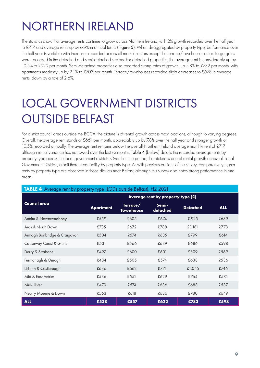### NORTHERN IRELAND

The statistics show that average rents continue to grow across Northern Ireland, with 2% growth recorded over the half year to £717 and average rents up by 6.9% in annual terms (Figure 5). When disaggregated by property type, performance over the half year is variable with increases recorded across all market sectors except the terrace/townhouse sector. Large gains were recorded in the detached and semi-detached sectors. For detached properties, the average rent is considerably up by 10.5% to £929 per month. Semi-detached properties also recorded strong rates of growth, up 5.8% to £732 per month, with apartments modestly up by 2.1% to £703 per month. Terrace/townhouses recorded slight decreases to £678 in average rents, down by a rate of 2.6%.

### LOCAL GOVERNMENT DISTRICTS OUTSIDE BELFAST

For district council areas outside the BCCA, the picture is of rental growth across most locations, although to varying degrees. Overall, the average rent stands at £661 per month, appreciably up by 7.8% over the half year and stronger growth of 10.5% recorded annually. The average rent remains below the overall Northern Ireland average monthly rent of £717, although rental variance has narrowed over the last six months. Table 4 (below) details the recorded average rents by property type across the local government districts. Over the time period, the picture is one of rental growth across all Local Government Districts, albeit there is variability by property type. As with previous editions of the survey, comparatively higher rents by property type are observed in those districts near Belfast, although this survey also notes strong performance in rural areas.

| ◡                            | Average rent by property type (£) |                              |                   |                 |            |  |
|------------------------------|-----------------------------------|------------------------------|-------------------|-----------------|------------|--|
| <b>Council area</b>          | <b>Apartment</b>                  | Terrace/<br><b>Townhouse</b> | Semi-<br>detached | <b>Detached</b> | <b>ALL</b> |  |
| Antrim & Newtownabbey        | £559                              | £605                         | £674              | £925            | £639       |  |
| Ards & North Down            | £735                              | £672                         | £788              | £1,181          | £778       |  |
| Armagh Banbridge & Craigavon | £504                              | £574                         | £635              | £799            | £614       |  |
| Causeway Coast & Glens       | £531                              | £566                         | £639              | £686            | £598       |  |
| Derry & Strabane             | £497                              | £600                         | £601              | £809            | £569       |  |
| Fermanagh & Omagh            | £484                              | £505                         | £574              | £638            | £536       |  |
| Lisburn & Castlereagh        | £646                              | £662                         | £771              | £1,045          | £746       |  |
| Mid & East Antrim            | £536                              | £552                         | £629              | £764            | £575       |  |
| Mid-Ulster                   | £470                              | £574                         | £636              | £688            | £587       |  |
| Newry Mourne & Down          | £563                              | £618                         | £636              | £780            | £649       |  |
| <b>ALL</b>                   | £538                              | £557                         | £622              | £783            | £598       |  |

#### TABLE 4 Average rent by property type (LGDs outside Belfast), H2 2021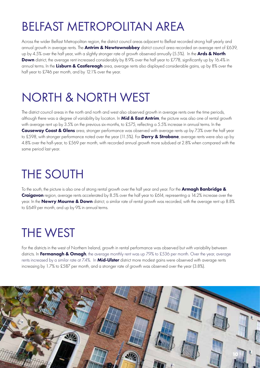#### BELFAST METROPOLITAN AREA

Across the wider Belfast Metropolitan region, the district council areas adjacent to Belfast recorded strong half yearly and annual growth in average rents. The **Antrim & Newtownabbey** district council area recorded an average rent of £639, up by 4.5% over the half year, with a slightly stronger rate of growth observed annually (5.5%). In the Ards & North Down district, the average rent increased considerably by 8.9% over the half year to £778, significantly up by 16.4% in annual terms. In the Lisburn & Castlereagh area, average rents also displayed considerable gains, up by 8% over the half year to £746 per month, and by 12.1% over the year.

### NORTH & NORTH WEST

The district council areas in the north and north and west also observed growth in average rents over the time periods, although there was a degree of variability by location. In Mid & East Antrim, the picture was also one of rental growth with average rent up by 3.5% on the previous six-months, to £575, reflecting a 5.5% increase in annual terms. In the Causeway Coast & Glens area, stronger performance was observed with average rents up by 7.3% over the half year to £598, with stronger performance noted over the year (11.5%). For Derry & Strabane, average rents were also up by 4.8% over the half-year, to £569 per month, with recorded annual growth more subdued at 2.8% when compared with the same period last year.

# THE SOUTH

To the south, the picture is also one of strong rental growth over the half year and year. For the Armagh Banbridge & Craigavon region, average rents accelerated by 8.5% over the half year to £614, representing a 14.2% increase over the year. In the Newry Mourne & Down district, a similar rate of rental growth was recorded, with the average rent up 8.8% to £649 per month, and up by 9% in annual terms.

#### THE WEST

For the districts in the west of Northern Ireland, growth in rental performance was observed but with variability between districts. In Fermanagh & Omagh, the average monthly rent was up 7.9% to £536 per month. Over the year, average rents increased by a similar rate at 7.4%. In Mid-Ulster district more modest gains were observed with average rents increasing by 1.7% to £587 per month, and a stronger rate of growth was observed over the year (3.8%).

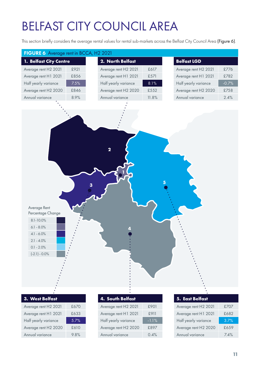# BELFAST CITY COUNCIL AREA

This section briefly considers the average rental values for rental sub-markets across the Belfast City Council Area (Figure 6).

| FIGURE 6 Average rent in BCCA, H2 2021                                                                                                      |      |                      |         |                      |         |
|---------------------------------------------------------------------------------------------------------------------------------------------|------|----------------------|---------|----------------------|---------|
| 1. Belfast City Centre                                                                                                                      |      | 2. North Belfast     |         | <b>Belfast LGD</b>   |         |
| Average rent H2 2021                                                                                                                        | £921 | Average rent H2 2021 | £617    | Average rent H2 2021 | £776    |
| Average rent H1 2021                                                                                                                        | £856 | Average rent H1 2021 | £571    | Average rent H1 2021 | £782    |
| Half yearly variance                                                                                                                        | 7.5% | Half yearly variance | $8.1\%$ | Half yearly variance | $-0.7%$ |
| Average rent H2 2020                                                                                                                        | £846 | Average rent H2 2020 | £552    | Average rent H2 2020 | £758    |
| Annual variance                                                                                                                             | 8.9% | Annual variance      | 11.8%   | Annual variance      | 2.4%    |
|                                                                                                                                             |      |                      |         |                      |         |
| Average Rent<br>Percentage Change<br>$8.1 - 10.0\%$<br>$6.1 - 8.0\%$<br>$4.1 - 6.0\%$<br>$2.1 - 4.0\%$<br>$0.1 - 2.0\%$<br>$(-2.1) - 0.0\%$ |      | $\overline{2}$       |         |                      |         |
|                                                                                                                                             |      |                      |         |                      |         |
| 3. West Belfast                                                                                                                             |      | 4. South Belfast     |         | 5. East Belfast      |         |

| Average rent H2 2021 | £670 |
|----------------------|------|
| Average rent H1 2021 | £633 |
| Half yearly variance | 5.7% |
| Average rent H2 2020 | £610 |
| Annual variance      | 9.8% |

| 4. South Belfast     |         |
|----------------------|---------|
| Average rent H2 2021 | £901    |
| Average rent H1 2021 | £911    |
| Half yearly variance | $-1.1%$ |
| Average rent H2 2020 | £897    |
| Annual variance      | 0.4%    |

| Average rent H2 2021 | £707 |
|----------------------|------|
| Average rent H1 2021 | £682 |
| Half yearly variance | 3.7% |
| Average rent H2 2020 | £659 |
| Annual variance      | 74%  |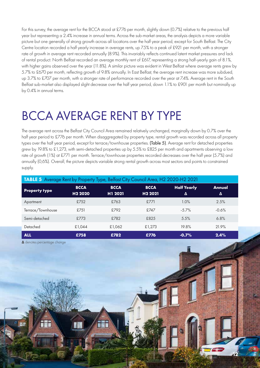For this survey, the average rent for the BCCA stood at £776 per month, slightly down (0.7%) relative to the previous half year but representing a 2.4% increase in annual terms. Across the sub-market areas, the analysis depicts a more variable picture but one generally of strong growth across all locations over the half year period, except for South Belfast. The City Centre location recorded a half yearly increase in average rents, up 7.5% to a peak of £921 per month, with a stronger rate of growth in average rent recorded annually (8.9%). This invariably reflects continued latent market pressures and lack of rental product. North Belfast recorded an average monthly rent of £617, representing a strong half-yearly gain of 8.1%, with higher gains observed over the year (11.8%). A similar picture was evident in West Belfast where average rents grew by 5.7% to £670 per month, reflecting growth of 9.8% annually. In East Belfast, the average rent increase was more subdued, up 3.7% to £707 per month, with a stronger rate of performance recorded over the year at 7.4%. Average rent in the South Belfast sub-market also displayed slight decrease over the half year period, down 1.1% to £901 per month but nominally up by 0.4% in annual terms.

#### BCCA AVERAGE RENT BY TYPE

The average rent across the Belfast City Council Area remained relatively unchanged, marginally down by 0.7% over the half year period to £776 per month. When disaggregated by property type, rental growth was recorded across all property types over the half year period, except for terrace/townhouse properties. (Table 5). Average rent for detached properties grew by 19.8% to £1,273, with semi-detached properties up by 5.5% to £825 per month and apartments observing a low rate of growth (1%) at £771 per month. Terrace/townhouse properties recorded decreases over the half year (5.7%) and annually (0,6%). Overall, the picture depicts variable strong rental growth across most sectors and points to constrained supply.

| <b>TABLE 5</b> Average Rent by Property Type, Belfast City Council Area, H2 2020-H2 2021 |                                    |                        |                                    |                         |             |  |
|------------------------------------------------------------------------------------------|------------------------------------|------------------------|------------------------------------|-------------------------|-------------|--|
| <b>Property type</b>                                                                     | <b>BCCA</b><br>H <sub>2</sub> 2020 | <b>BCCA</b><br>H1 2021 | <b>BCCA</b><br>H <sub>2</sub> 2021 | <b>Half Yearly</b><br>Δ | Annual<br>Δ |  |
| Apartment                                                                                | £752                               | £763                   | £771                               | 1.0%                    | 2.5%        |  |
| Terrace/Townhouse                                                                        | £751                               | £792                   | £747                               | $-5.7\%$                | $-0.6%$     |  |
| Semi-detached                                                                            | £773                               | £782                   | £825                               | 5.5%                    | 6.8%        |  |
| Detached                                                                                 | £1,044                             | £1,062                 | £1,273                             | 19.8%                   | 21.9%       |  |
| <b>ALL</b>                                                                               | £758                               | £782                   | £776                               | $-0.7%$                 | 2.4%        |  |

**12**

**∆** denotes percentage change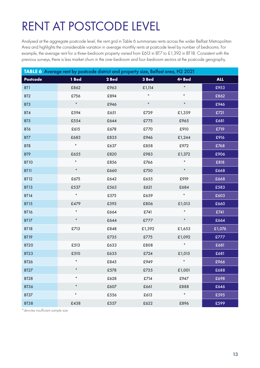# RENT AT POSTCODE LEVEL

Analysed at the aggregate postcode level, the rent grid in Table 6 summarises rents across the wider Belfast Metropolitan Area and highlights the considerable variation in average monthly rents at postcode level by number of bedrooms. For example, the average rent for a three-bedroom property varied from £613 in BT7 to £1,392 in BT18. Consistent with the previous surveys, there is less market churn in the one-bedroom and four-bedroom sectors at the postcode geography.

| TABLE 6 Average rent by postcode district and property size, Belfast area, H2 2021 |            |       |           |          |            |
|------------------------------------------------------------------------------------|------------|-------|-----------|----------|------------|
| <b>Postcode</b>                                                                    | 1 Bed      | 2 Bed | 3 Bed     | 4+ Bed   | <b>ALL</b> |
| BT <sub>1</sub>                                                                    | £862       | £963  | £1,114    | $\star$  | £953       |
| BT <sub>2</sub>                                                                    | £756       | £894  | $^{\ast}$ | $^\star$ | £862       |
| BT3                                                                                | $^\star$   | £946  | $^\star$  | $\star$  | £946       |
| BT4                                                                                | £594       | £651  | £739      | £1,359   | £721       |
| BT5                                                                                | £554       | £644  | £775      | £965     | £681       |
| BT6                                                                                | £615       | £678  | £770      | £910     | £719       |
| BT7                                                                                | £683       | £835  | £946      | £1,244   | £916       |
| BT8                                                                                | $\ast$     | £637  | £858      | £972     | £768       |
| BT9                                                                                | £655       | £820  | £983      | £1,372   | £906       |
| <b>BT10</b>                                                                        | $\star$    | £856  | £766      | $\star$  | £818       |
| <b>BT11</b>                                                                        | $^\star$   | £660  | £750      | $\star$  | £668       |
| <b>BT12</b>                                                                        | £675       | £642  | £655      | £919     | £668       |
| <b>BT13</b>                                                                        | £537       | £563  | £621      | £684     | £583       |
| <b>BT14</b>                                                                        | $^{\star}$ | £575  | £659      | $\ast$   | £603       |
| <b>BT15</b>                                                                        | £479       | £593  | £806      | £1,013   | £660       |
| <b>BT16</b>                                                                        | $^\star$   | £664  | £741      | $\star$  | £741       |
| <b>BT17</b>                                                                        | $^{\star}$ | £644  | £777      | $\star$  | £664       |
| <b>BT18</b>                                                                        | £713       | £848  | £1,392    | £1,653   | £1,076     |
| <b>BT19</b>                                                                        |            | £735  | £775      | £1,092   | £777       |
| <b>BT20</b>                                                                        | £513       | £633  | £808      | $\star$  | £681       |
| <b>BT23</b>                                                                        | £510       | £635  | £724      | £1,015   | £681       |
| <b>BT26</b>                                                                        | $^{\ast}$  | £845  | £949      | $\star$  | £966       |
| <b>BT27</b>                                                                        | $\star$    | £578  | £735      | £1,001   | £688       |
| <b>BT28</b>                                                                        | $\star$    | £628  | £714      | £947     | £698       |
| <b>BT36</b>                                                                        | $\star$    | £607  | £661      | £888     | £646       |
| <b>BT37</b>                                                                        | $\star$    | £556  | £613      | $\star$  | £595       |
| <b>BT38</b>                                                                        | £438       | £557  | £622      | £896     | £599       |

\*denotes insufficient sample size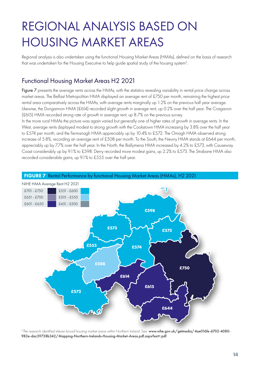### REGIONAL ANALYSIS BASED ON HOUSING MARKET AREAS

Regional analysis is also undertaken using the functional Housing Market Areas (HMAs), defined on the basis of research that was undertaken for the Housing Executive to help guide spatial study of the housing system<sup>2</sup>.

#### Functional Housing Market Areas H2 2021

Figure 7 presents the average rents across the HMAs, with the statistics revealing variability in rental price change across market areas. The Belfast Metropolitan HMA displayed an average rent of £750 per month, remaining the highest price rental area comparatively across the HMAs, with average rents marginally up 1.2% on the previous half year average. Likewise, the Dungannon HMA (£614) recorded slight growth in average rent, up 0.2% over the half year. The Craigavon (£615) HMA recorded strong rate of growth in average rent, up 8.7% on the previous survey.

In the more rural HMAs the picture was again varied but generally one of higher rates of growth in average rents. In the West, average rents displayed modest to strong growth with the Cookstown HMA increasing by 3.8% over the half year to £574 per month, and the Fermanagh HMA appreciably up by 10.4% to £572. The Omagh HMA observed strong increase of 5.8%, recording an average rent of £508 per month. To the South, the Newry HMA stands at £644 per month, appreciably up by 7.7% over the half year. In the North, the Ballymena HMA increased by 4.2% to £573, with Causeway Coast considerably up by 9.1% to £598. Derry recorded more modest gains, up 2.2% to £573. The Strabane HMA also recorded considerable gains, up 9.1% to £555 over the half year.



FIGURE 7 Rental Performance by functional Housing Market Areas (HMAs), H2 2021

<sup>2</sup> The research identified eleven broad housing market areas within Northern Ireland. See: [www.nihe.gov.uk/getmedia/4ae016fe-6702-4080-](http://www.nihe.gov.uk/getmedia/4ae016fe-6702-4080-983e-dac39738b342/Mapping-Northern-Irelands-Housing-Market-Areas.pdf.aspx?ext=.pdf) [983e-dac39738b342/Mapping-Northern-Irelands-Housing-Market-Areas.pdf.aspx?ext=.pdf](http://www.nihe.gov.uk/getmedia/4ae016fe-6702-4080-983e-dac39738b342/Mapping-Northern-Irelands-Housing-Market-Areas.pdf.aspx?ext=.pdf)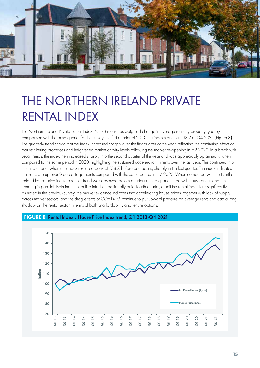

#### THE NORTHERN IRELAND PRIVATE RENTAL INDEX

The Northern Ireland Private Rental Index (NIPRI) measures weighted change in average rents by property type by comparison with the base quarter for the survey, the first quarter of 2013. The index stands at 133.2 at Q4 2021 (Figure 8). The quarterly trend shows that the index increased sharply over the first quarter of the year, reflecting the continuing effect of market filtering processes and heightened market activity levels following the market re-opening in H2 2020. In a break with usual trends, the index then increased sharply into the second quarter of the year and was appreciably up annually when compared to the same period in 2020, highlighting the sustained acceleration in rents over the last year. This continued into the third quarter where the index rose to a peak of 138.7, before decreasing sharply in the last quarter. The index indicates that rents are up over 9 percentage points compared with the same period in H2 2020. When compared with the Northern Ireland house price index, a similar trend was observed across quarters one to quarter three with house prices and rents trending in parallel. Both indices decline into the traditionally quiet fourth quarter, albeit the rental index falls significantly. As noted in the previous survey, the market evidence indicates that accelerating house prices, together with lack of supply across market sectors, and the drag effects of COVID-19, continue to put upward pressure on average rents and cast a long shadow on the rental sector in terms of both unaffordability and tenure options.



#### FIGURE 8 Rental Index v House Price Index trend, Q1 2013-Q4 2021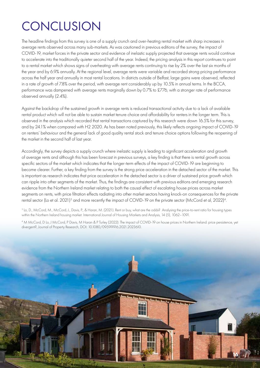### **CONCLUSION**

The headline findings from this survey is one of a supply crunch and over-heating rental market with sharp increases in average rents observed across many sub-markets. As was cautioned in previous editions of the survey, the impact of COVID-19, market forces in the private sector and evidence of inelastic supply projected that average rents would continue to accelerate into the traditionally quieter second half of the year. Indeed, the pricing analysis in this report continues to point to a rental market which shows signs of overheating with average rents continuing to rise by 2% over the last six months of the year and by 6.9% annually. At the regional level, average rents were variable and recorded strong pricing performance across the half year and annually in most rental locations. In districts outside of Belfast, large gains were observed, reflected in a rate of growth of 7.8% over the period, with average rent considerably up by 10.5% in annual terms. In the BCCA, performance was dampened with average rents marginally down by 0.7% to £776, with a stronger rate of performance observed annually (2.4%).

Against the backdrop of the sustained growth in average rents is reduced transactional activity due to a lack of available rental product which will not be able to sustain market tenure choice and affordability for renters in the longer term. This is observed in the analysis which recorded that rental transactions captured by this research were down 16.5% for this survey, and by 24.1% when compared with H2 2020. As has been noted previously, this likely reflects ongoing impact of COVID-19 on renters' behaviour and the general lack of good quality rental stock and tenure choice options following the reopening of the market in the second half of last year.

Accordingly, the survey depicts a supply crunch where inelastic supply is leading to significant acceleration and growth of average rents and although this has been forecast in previous surveys, a key finding is that there is rental growth across specific sectors of the market which indicates that the longer-term effects of the impact of COVID-19 are beginning to become clearer. Further, a key finding from the survey is the strong price acceleration in the detached sector of the market. This is important as research indicates that price acceleration in the detached sector is a driver of sustained price growth which can ripple into other segments of the market. Thus, the findings are consistent with previous editions and emerging research evidence from the Northern Ireland market relating to both the causal effect of escalating house prices across market segments on rents, with price filtration effects radiating into other market sectors having knock-on consequences for the private rental sector (Lo et al. 2021)<sup>3</sup> and more recently the impact of COVID-19 on the private sector (McCord et al, 2022)<sup>4</sup>.

3 Lo, D., McCord, M., McCord, J., Davis, P., & Haran, M. (2021). Rent or buy, what are the odds? Analysing the price-to-rent ratio for housing types within the Northern Ireland housing market. International Journal of Housing Markets and Analysis, 14 (5), 1062–1091.

4 M McCord, D Lo, J McCord, P Davis, M Haran & P Turley (2022): The impact of COVID-19 on house prices in Northern Ireland: price persistence, yet divergent?, Journal of Property Research, DOI: 10.1080/09599916.2021.2023610.

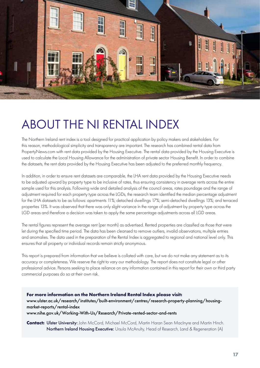

#### ABOUT THE NI RENTAL INDEX

The Northern Ireland rent index is a tool designed for practical application by policy makers and stakeholders. For this reason, methodological simplicity and transparency are important. The research has combined rental data from PropertyNews.com with rent data provided by the Housing Executive. The rental data provided by the Housing Executive is used to calculate the Local Housing Allowance for the administration of private sector Housing Benefit. In order to combine the datasets, the rent data provided by the Housing Executive has been adjusted to the preferred monthly frequency.

In addition, in order to ensure rent datasets are comparable, the LHA rent data provided by the Housing Executive needs to be adjusted upward by property type to be inclusive of rates, thus ensuring consistency in average rents across the entire sample used for this analysis. Following wide and detailed analysis of the council areas, rates poundage and the range of adjustment required for each property type across the LGDs, the research team identified the median percentage adjustment for the LHA datasets to be as follows: apartments 11%; detached dwellings 17%; semi-detached dwellings 13%; and terraced properties 13%. It was observed that there was only slight variance in the range of adjustment by property type across the LGD areas and therefore a decision was taken to apply the same percentage adjustments across all LGD areas.

The rental figures represent the average rent (per month) as advertised. Rented properties are classified as those that were let during the specified time period. The data has been cleansed to remove outliers, invalid observations, multiple entries and anomalies. The data used in the preparation of the Rental Index is aggregated to regional and national level only. This ensures that all property or individual records remain strictly anonymous.

This report is prepared from information that we believe is collated with care, but we do not make any statement as to its accuracy or completeness. We reserve the right to vary our methodology. The report does not constitute legal or other professional advice. Persons seeking to place reliance on any information contained in this report for their own or third party commercial purposes do so at their own risk.

**For more information on the Northern Ireland Rental Index please visit:**  [www.ulster.ac.uk/research/institutes/built-environment/centres/research-property-planning/housing](http://www.ulster.ac.uk/research/institutes/built-environment/centres/research-property-planning/housing-market-reports/rental-index)[market-reports/rental-index](http://www.ulster.ac.uk/research/institutes/built-environment/centres/research-property-planning/housing-market-reports/rental-index) [www.nihe.gov.uk/Working-With-Us/Research/Private-rented-sector-and-rents](http://www.nihe.gov.uk/Working-With-Us/Research/Private-rented-sector-and-rents)

**Contact: Ulster University:** John McCord, Michael McCord, Martin Haran Sean MacInyre and Martin Hinch. Northern Ireland Housing Executive: Ursula McAnulty, Head of Research, Land & Regeneration (A)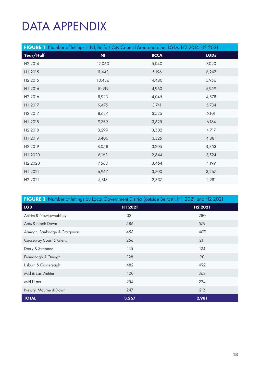### DATA APPENDIX

|                     | FIGURE 1 Number of lettings - NI, Belfast City Council Area and other LGDs, H2 2014-H2 2021 |             |             |
|---------------------|---------------------------------------------------------------------------------------------|-------------|-------------|
| Year/Half           | N <sub>1</sub>                                                                              | <b>BCCA</b> | <b>LGDs</b> |
| H <sub>2</sub> 2014 | 12,060                                                                                      | 5,040       | 7,020       |
| H1 2015             | 11,443                                                                                      | 5,196       | 6,247       |
| H <sub>2</sub> 2015 | 10,436                                                                                      | 4,480       | 5,956       |
| H1 2016             | 10,919                                                                                      | 4,960       | 5,959       |
| H <sub>2</sub> 2016 | 8,923                                                                                       | 4,045       | 4,878       |
| H1 2017             | 9,475                                                                                       | 3,741       | 5,734       |
| H <sub>2</sub> 2017 | 8,627                                                                                       | 3,526       | 5,101       |
| H1 2018             | 9,759                                                                                       | 3,625       | 6,134       |
| H <sub>2</sub> 2018 | 8,299                                                                                       | 3,582       | 4,717       |
| H1 2019             | 8,406                                                                                       | 3,525       | 4,881       |
| H <sub>2</sub> 2019 | 8,058                                                                                       | 3,205       | 4,853       |
| H1 2020             | 6,168                                                                                       | 2,644       | 3,524       |
| H <sub>2</sub> 2020 | 7,663                                                                                       | 3,464       | 4,199       |
| H1 2021             | 6,967                                                                                       | 3,700       | 3,267       |
| H <sub>2</sub> 2021 | 5,818                                                                                       | 2,837       | 2,981       |

| FIGURE 3 Number of lettings by Local Government District (outside Belfast), H1 2021 and H2 2021 |         |                     |  |  |
|-------------------------------------------------------------------------------------------------|---------|---------------------|--|--|
| <b>LGD</b>                                                                                      | H1 2021 | H <sub>2</sub> 2021 |  |  |
| Antrim & Newtownabbey                                                                           | 321     | 280                 |  |  |
| Ards & North Down                                                                               | 586     | 579                 |  |  |
| Armagh, Banbridge & Craigavon                                                                   | 458     | 407                 |  |  |
| Causeway Coast & Glens                                                                          | 256     | 211                 |  |  |
| Derry & Strabane                                                                                | 135     | 124                 |  |  |
| Fermanagh & Omagh                                                                               | 128     | 90                  |  |  |
| Lisburn & Castlereagh                                                                           | 482     | 492                 |  |  |
| Mid & East Antrim                                                                               | 400     | 362                 |  |  |
| Mid Ulster                                                                                      | 254     | 224                 |  |  |
| Newry, Mourne & Down                                                                            | 247     | 212                 |  |  |
| <b>TOTAL</b>                                                                                    | 3,267   | 2,981               |  |  |